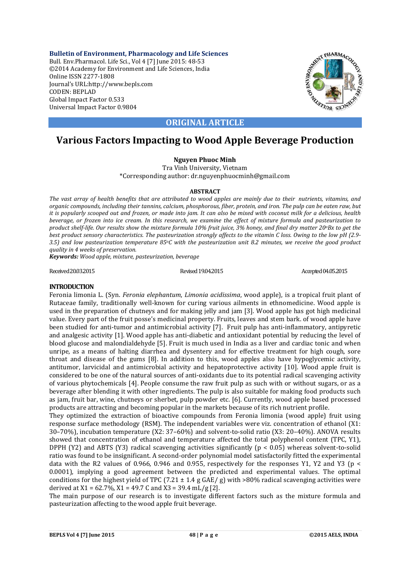**Bulletin of Environment, Pharmacology and Life Sciences** Bull. Env.Pharmacol. Life Sci., Vol 4 [7] June 2015: 48-53 ©2014 Academy for Environment and Life Sciences, India Online ISSN 2277-1808 Journal's URL:http://www.bepls.com CODEN: BEPLAD Global Impact Factor 0.533 Universal Impact Factor 0.9804



## **ORIGINAL ARTICLE**

## **Various Factors Impacting to Wood Apple Beverage Production**

### **Nguyen Phuoc Minh**

Tra Vinh University, Vietnam \*Corresponding author: dr.nguyenphuocminh@gmail.com

#### **ABSTRACT**

*The vast array of health benefits that are attributed to wood apples are mainly due to their nutrients, vitamins, and organic compounds, including their tannins, calcium, phosphorous, fiber, protein, and iron. The pulp can be eaten raw, but it is popularly scooped out and frozen, or made into jam. It can also be mixed with coconut milk for a delicious, health beverage, or frozen into ice cream. In this research, we examine the effect of mixture formula and pasteurization to product shelf-life. Our results show the mixture formula 10% fruit juice, 3% honey, and final dry matter 20oBx to get the best product sensory characteristics. The pasteurization strongly affects to the vitamin C loss. Owing to the low pH (2.9- 3.5) and low pasteurization temperature 85oC with the pasteurization unit 8.2 minutes, we receive the good product quality in 4 weeks of preservation.*

*Keywords: Wood apple, mixture, pasteurization, beverage*

Revised 19.04.2015 Revised 19.04.2015 Revised 19.04.2015 Accepted 04.05.2015

#### **INTRODUCTION**

Feronia limonia L. (Syn. *Feronia elephantum*, *Limonia acidissima*, wood apple), is a tropical fruit plant of Rutaceae family, traditionally well-known for curing various ailments in ethnomedicine. Wood apple is used in the preparation of chutneys and for making jelly and jam [3]. Wood apple has got high medicinal value. Every part of the fruit posse's medicinal property. Fruits, leaves and stem bark. of wood apple have been studied for anti-tumor and antimicrobial activity [7]. Fruit pulp has anti-inflammatory, antipyretic and analgesic activity [1]. Wood apple has anti-diabetic and antioxidant potential by reducing the level of blood glucose and malondialdehyde [5]. Fruit is much used in India as a liver and cardiac tonic and when unripe, as a means of halting diarrhea and dysentery and for effective treatment for high cough, sore throat and disease of the gums [8]. In addition to this, wood apples also have hypoglycemic activity, antitumor, larvicidal and antimicrobial activity and hepatoprotective activity [10]. Wood apple fruit is considered to be one of the natural sources of anti-oxidants due to its potential radical scavenging activity of various phytochemicals [4]. People consume the raw fruit pulp as such with or without sugars, or as a beverage after blending it with other ingredients. The pulp is also suitable for making food products such as jam, fruit bar, wine, chutneys or sherbet, pulp powder etc. [6]. Currently, wood apple based processed products are attracting and becoming popular in the markets because of its rich nutrient profile.

They optimized the extraction of bioactive compounds from Feronia limonia (wood apple) fruit using response surface methodology (RSM). The independent variables were viz. concentration of ethanol (X1: 30–70%), incubation temperature (X2: 37–60%) and solvent-to-solid ratio (X3: 20–40%). ANOVA results showed that concentration of ethanol and temperature affected the total polyphenol content (TPC, Y1), DPPH (Y2) and ABTS (Y3) radical scavenging activities significantly ( $p < 0.05$ ) whereas solvent-to-solid ratio was found to be insignificant. A second-order polynomial model satisfactorily fitted the experimental data with the R2 values of 0.966, 0.946 and 0.955, respectively for the responses Y1, Y2 and Y3 (p  $\lt$ 0.0001), implying a good agreement between the predicted and experimental values. The optimal conditions for the highest yield of TPC (7.21  $\pm$  1.4 g GAE/ g) with >80% radical scavenging activities were derived at  $X1 = 62.7\%$ ,  $X1 = 49.7$  C and  $X3 = 39.4$  mL/g [2].

The main purpose of our research is to investigate different factors such as the mixture formula and pasteurization affecting to the wood apple fruit beverage.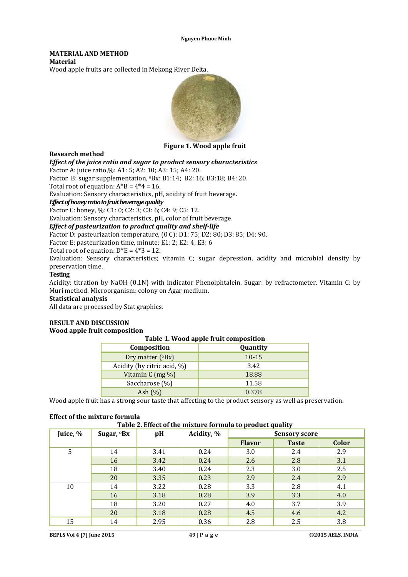#### **MATERIAL AND METHOD Material**

Wood apple fruits are collected in Mekong River Delta.



**Figure 1. Wood apple fruit**

#### **Research method**

*Effect of the juice ratio and sugar to product sensory characteristics*

Factor A: juice ratio,%: A1: 5; A2: 10; A3: 15; A4: 20.

Factor B: sugar supplementation, oBx: B1:14; B2: 16; B3:18; B4: 20.

Total root of equation:  $A^*B = 4^*4 = 16$ .

Evaluation: Sensory characteristics, pH, acidity of fruit beverage.

#### *Effect of honey ratio to fruit beverage quality*

Factor C: honey, %: C1: 0; C2: 3; C3: 6; C4: 9; C5: 12.

Evaluation: Sensory characteristics, pH, color of fruit beverage.

#### *Effect of pasteurization to product quality and shelf-life*

Factor D: pasteurization temperature, (0 C): D1: 75; D2: 80; D3: 85; D4: 90.

Factor E: pasteurization time, minute: E1: 2; E2: 4; E3: 6

Total root of equation:  $D*E = 4*3 = 12$ .

Evaluation: Sensory characteristics; vitamin C; sugar depression, acidity and microbial density by preservation time.

#### **Testing**

Acidity: titration by NaOH (0.1N) with indicator Phenolphtalein. Sugar: by refractometer. Vitamin C: by Muri method. Microorganism: colony on Agar medium.

#### **Statistical analysis**

All data are processed by Stat graphics.

#### **RESULT AND DISCUSSION Wood apple fruit composition**

| Table 1. Wood apple fruit composition |           |  |  |  |  |  |
|---------------------------------------|-----------|--|--|--|--|--|
| Composition                           | Quantity  |  |  |  |  |  |
| Dry matter $(^{\circ}Bx)$             | $10 - 15$ |  |  |  |  |  |
| Acidity (by citric acid, %)           | 3.42      |  |  |  |  |  |
| Vitamin C $(mg\%)$                    | 18.88     |  |  |  |  |  |
| Saccharose (%)                        | 11.58     |  |  |  |  |  |
| Ash $(\%)$                            | 0.378     |  |  |  |  |  |

Wood apple fruit has a strong sour taste that affecting to the product sensory as well as preservation.

#### **Effect of the mixture formula**

|  | Table 2. Effect of the mixture formula to product quality |  |  |  |
|--|-----------------------------------------------------------|--|--|--|
|  |                                                           |  |  |  |

| $\frac{1}{2}$ |                  |      |            |                      |              |              |  |  |  |
|---------------|------------------|------|------------|----------------------|--------------|--------------|--|--|--|
| Juice, %      | Sugar, <b>Bx</b> | pH   | Acidity, % | <b>Sensory score</b> |              |              |  |  |  |
|               |                  |      |            | <b>Flavor</b>        | <b>Taste</b> | <b>Color</b> |  |  |  |
| 5             | 14               | 3.41 | 0.24       | 3.0                  | 2.4          | 2.9          |  |  |  |
|               | 16               | 3.42 | 0.24       | 2.6                  | 2.8          | 3.1          |  |  |  |
|               | 18               | 3.40 | 0.24       | 2.3                  | 3.0          | 2.5          |  |  |  |
|               | 20               | 3.35 | 0.23       | 2.9                  | 2.4          | 2.9          |  |  |  |
| 10            | 14               | 3.22 | 0.28       | 3.3                  | 2.8          | 4.1          |  |  |  |
|               | 16               | 3.18 | 0.28       | 3.9                  | 3.3          | 4.0          |  |  |  |
|               | 18               | 3.20 | 0.27       | 4.0                  | 3.7          | 3.9          |  |  |  |
|               | 20               | 3.18 | 0.28       | 4.5                  | 4.6          | 4.2          |  |  |  |
| 15            | 14               | 2.95 | 0.36       | 2.8                  | 2.5          | 3.8          |  |  |  |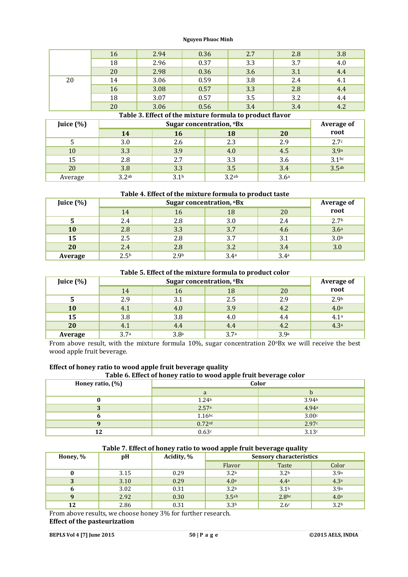|    | 16 | 2.94 | 0.36 | 2.7 | 2.8 | 3.8 |
|----|----|------|------|-----|-----|-----|
|    | 18 | 2.96 | 0.37 | 3.3 | 3.7 | 4.0 |
|    | 20 | 2.98 | 0.36 | 3.6 | 3.1 | 4.4 |
| 20 | 14 | 3.06 | 0.59 | 3.8 | 2.4 | 4.1 |
|    | 16 | 3.08 | 0.57 | 3.3 | 2.8 | 4.4 |
|    | 18 | 3.07 | 0.57 | 3.5 | 3.2 | 4.4 |
|    | 20 | 3.06 | 0.56 | 3.4 | 3.4 | 4.2 |

### **Table 3. Effect of the mixture formula to product flavor**

| Juice $(\%)$ |                   | <b>Average of</b> |                   |                  |                   |
|--------------|-------------------|-------------------|-------------------|------------------|-------------------|
|              | 14                | 16                | 18                | 20               | root              |
|              | 3.0               | 2.6               | 2.3               | 2.9              | 2.7 <sup>c</sup>  |
| 10           | 3.3               | 3.9               | 4.0               | 4.5              | 3.9a              |
| 15           | 2.8               | 2.7               | 3.3               | 3.6              | $3.1^{bc}$        |
| 20           | 3.8               | 3.3               | 3.5               | 3.4              | 3.5 <sup>ab</sup> |
| Average      | 3.2 <sup>ab</sup> | 3.1 <sup>b</sup>  | 3.2 <sup>ab</sup> | 3.6 <sup>a</sup> |                   |

#### **Table 4. Effect of the mixture formula to product taste**

| Juice $(\%)$ |                  | Sugar concentration, <sup>o</sup> Bx |                  |                  |                    |  |  |
|--------------|------------------|--------------------------------------|------------------|------------------|--------------------|--|--|
|              | 14               | 16                                   | 18               | 20               | Average of<br>root |  |  |
| 5            | 2.4              | 2.8                                  | 3.0              | 2.4              | 2.7 <sup>b</sup>   |  |  |
| 10           | 2.8              | 3.3                                  | 3.7              | 4.6              | 3.6 <sup>a</sup>   |  |  |
| 15           | 2.5              | 2.8                                  | 3.7              | 3.1              | 3.0 <sup>b</sup>   |  |  |
| 20           | 2.4              | 2.8                                  | 3.2              | 3.4              | 3.0                |  |  |
| Average      | 2.5 <sup>b</sup> | 2.9 <sub>b</sub>                     | 3.4 <sup>a</sup> | 3.4 <sup>a</sup> |                    |  |  |

#### **Table 5. Effect of the mixture formula to product color**

| Juice (%) |                  | Sugar concentration, <sup>o</sup> Bx |                  |      |                  |  |  |
|-----------|------------------|--------------------------------------|------------------|------|------------------|--|--|
|           | 14               | 16                                   | 18               | 20   | root             |  |  |
|           | 2.9              | 3.1                                  | 2.5              | 2.9  | 2.9 <sub>b</sub> |  |  |
| 10        | 4.1              | 4.0                                  | 3.9              | 4.2  | 4.0 <sup>a</sup> |  |  |
| 15        | 3.8              | 3.8                                  | 4.0              | 4.4  | 4.1a             |  |  |
| 20        | 4.1              | 4.4                                  | 4.4              | 4.2  | 4.3 <sup>a</sup> |  |  |
| Average   | 3.7 <sup>a</sup> | 3.8 <sup>a</sup>                     | 3.7 <sup>a</sup> | 3.9a |                  |  |  |

From above result, with the mixture formula 10%, sugar concentration 20°Bx we will receive the best wood apple fruit beverage.

### **Effect of honey ratio to wood apple fruit beverage quality**

### **Table 6. Effect of honey ratio to wood apple fruit beverage color**

| Honey ratio, (%) | Color             |                   |  |  |
|------------------|-------------------|-------------------|--|--|
|                  | a                 | D                 |  |  |
|                  | 1.24 <sub>b</sub> | 3.94 <sub>b</sub> |  |  |
|                  | 2.57a             | 4.94a             |  |  |
|                  | $1.16$ bc         | 3.00c             |  |  |
|                  | 0.72cd            | 2.97c             |  |  |
| 12               | 0.63c             | 3.13c             |  |  |

#### **Table 7. Effect of honey ratio to wood apple fruit beverage quality**

| Honey, % | pH   | Acidity, % | <b>Sensory characteristics</b> |                   |                  |  |
|----------|------|------------|--------------------------------|-------------------|------------------|--|
|          |      |            | Flavor                         | Taste             | Color            |  |
|          | 3.15 | 0.29       | 3.2 <sub>b</sub>               | 3.2 <sub>b</sub>  | 3.9a             |  |
|          | 3.10 | 0.29       | 4.0 <sup>a</sup>               | 4.4 <sup>a</sup>  | 4.3a             |  |
|          | 3.02 | 0.31       | 3.2 <sup>b</sup>               | 3.1 <sup>b</sup>  | 3.9 <sup>a</sup> |  |
|          | 2.92 | 0.30       | 3.5 <sup>ab</sup>              | 2.8 <sub>bc</sub> | 4.0 <sup>a</sup> |  |
| 12       | 2.86 | 0.31       | 3.3 <sup>b</sup>               | 2.6 <sup>c</sup>  | 3.2 <sup>b</sup> |  |

From above results, we choose honey 3% for further research. **Effect of the pasteurization**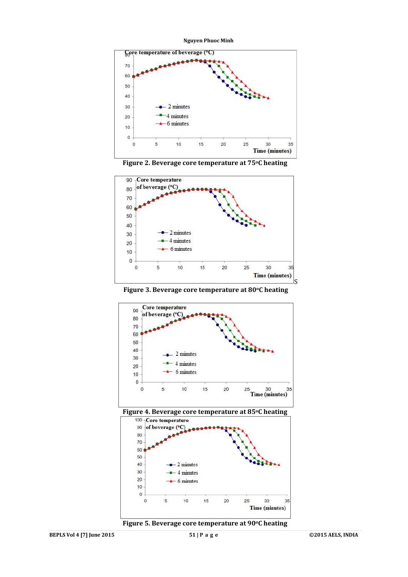**Nguyen Phuoc Minh**







**Figure 3. Beverage core temperature at 80oC heating**







**Figure 5. Beverage core temperature at 90oC heating**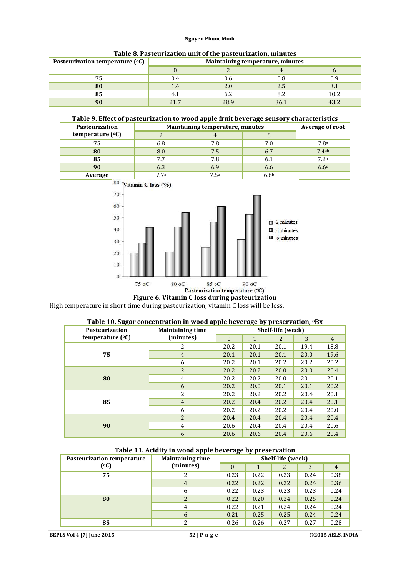| Pasteurization temperature (°C) | Maintaining temperature, minutes |      |      |      |  |  |  |
|---------------------------------|----------------------------------|------|------|------|--|--|--|
|                                 |                                  |      |      |      |  |  |  |
| ヮロ                              | 0.4                              | U.6  |      | 0.9  |  |  |  |
| 80                              | 1.4                              | 2.0  | 2.5  | 3.1  |  |  |  |
|                                 | Ŧ. 1                             | b.Z  |      | 10.2 |  |  |  |
|                                 | 217                              | 28.9 | 36.1 |      |  |  |  |

#### **Table 8. Pasteurization unit of the pasteurization, minutes**

#### **Table 9. Effect of pasteurization to wood apple fruit beverage sensory characteristics**

| Pasteurization   | Maintaining temperature, minutes | <b>Average of root</b> |     |                  |
|------------------|----------------------------------|------------------------|-----|------------------|
| temperature (°C) |                                  |                        |     |                  |
| 75               | 6.8                              | 7.8                    | 7.0 | 7.8 <sup>a</sup> |
| 80               | 8.0                              | 7.5                    | 6.7 | 7.4ab            |
| 85               | 7.7                              | 7.8                    | 6.1 | 7.2 <sub>b</sub> |
| 90               | 6.3                              | 6.9                    | 6.6 | 6.6c             |
| Average          | 77a                              | 7 5a                   |     |                  |



# **Figure 6. Vitamin C loss during pasteurization**

High temperature in short time during pasteurization, vitamin C loss will be less.

#### **Table 10. Sugar concentration in wood apple beverage by preservation, oBx**

| <b>Pasteurization</b> | . .<br><b>Maintaining time</b> | Shelf-life (week) |      |      |      |                |  |
|-----------------------|--------------------------------|-------------------|------|------|------|----------------|--|
| temperature $(°C)$    | (minutes)                      | $\Omega$          | 1    | 2    | 3    | $\overline{4}$ |  |
|                       | 2                              | 20.2              | 20.1 | 20.1 | 19.4 | 18.8           |  |
| 75                    | $\overline{4}$                 | 20.1              | 20.1 | 20.1 | 20.0 | 19.6           |  |
|                       | 6                              | 20.2              | 20.1 | 20.2 | 20.2 | 20.2           |  |
|                       | $\overline{2}$                 | 20.2              | 20.2 | 20.0 | 20.0 | 20.4           |  |
| 80                    | 4                              | 20.2              | 20.2 | 20.0 | 20.1 | 20.1           |  |
|                       | 6                              | 20.2              | 20.0 | 20.1 | 20.1 | 20.2           |  |
|                       | 2                              | 20.2              | 20.2 | 20.2 | 20.4 | 20.1           |  |
| 85                    | $\overline{4}$                 | 20.2              | 20.4 | 20.2 | 20.4 | 20.1           |  |
|                       | 6                              | 20.2              | 20.2 | 20.2 | 20.4 | 20.0           |  |
|                       | $\overline{2}$                 | 20.4              | 20.4 | 20.4 | 20.4 | 20.4           |  |
| 90                    | 4                              | 20.6              | 20.4 | 20.4 | 20.4 | 20.6           |  |
|                       | 6                              | 20.6              | 20.6 | 20.4 | 20.6 | 20.4           |  |

#### **Table 11. Acidity in wood apple beverage by preservation**

| <b>Pasteurization temperature</b> | . .<br><b>Maintaining time</b> | . .<br>. .<br>Shelf-life (week) |      |      |      |                |
|-----------------------------------|--------------------------------|---------------------------------|------|------|------|----------------|
| (°C)                              | (minutes)                      | $\theta$                        |      | 2    |      | $\overline{4}$ |
| 75                                |                                | 0.23                            | 0.22 | 0.23 | 0.24 | 0.38           |
|                                   | 4                              | 0.22                            | 0.22 | 0.22 | 0.24 | 0.36           |
|                                   | 6                              | 0.22                            | 0.23 | 0.23 | 0.23 | 0.24           |
| 80                                | 2                              | 0.22                            | 0.20 | 0.24 | 0.25 | 0.24           |
|                                   | 4                              | 0.22                            | 0.21 | 0.24 | 0.24 | 0.24           |
|                                   | 6                              | 0.21                            | 0.25 | 0.25 | 0.24 | 0.24           |
| 85                                | 2                              | 0.26                            | 0.26 | 0.27 | 0.27 | 0.28           |

**BEPLS Vol 4 [7] June 2015 52 | P a g e ©2015 AELS, INDIA**